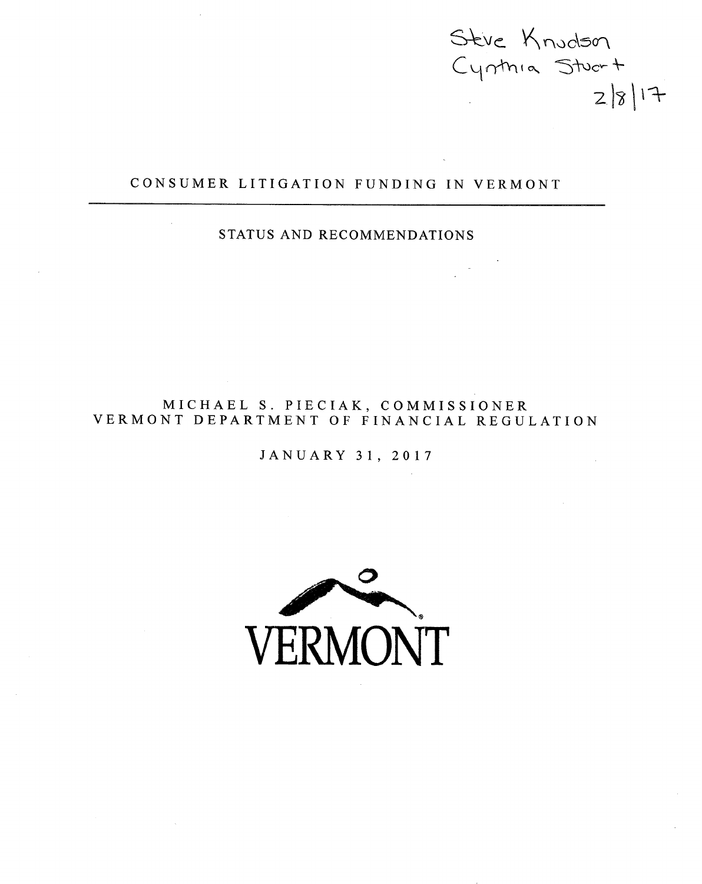nudson  $2|8|17$ 

## CONSUMER LITIGATION FUNDING IN VERMONT

## STATUS AND RECOMMENDATIONS

MICHAEL S. PIECIAK, COMMISSIONER VERMONT DEPARTMENT OF FINANCIAL REGULATION

JANUARY 31, 2017

**VERMONT**